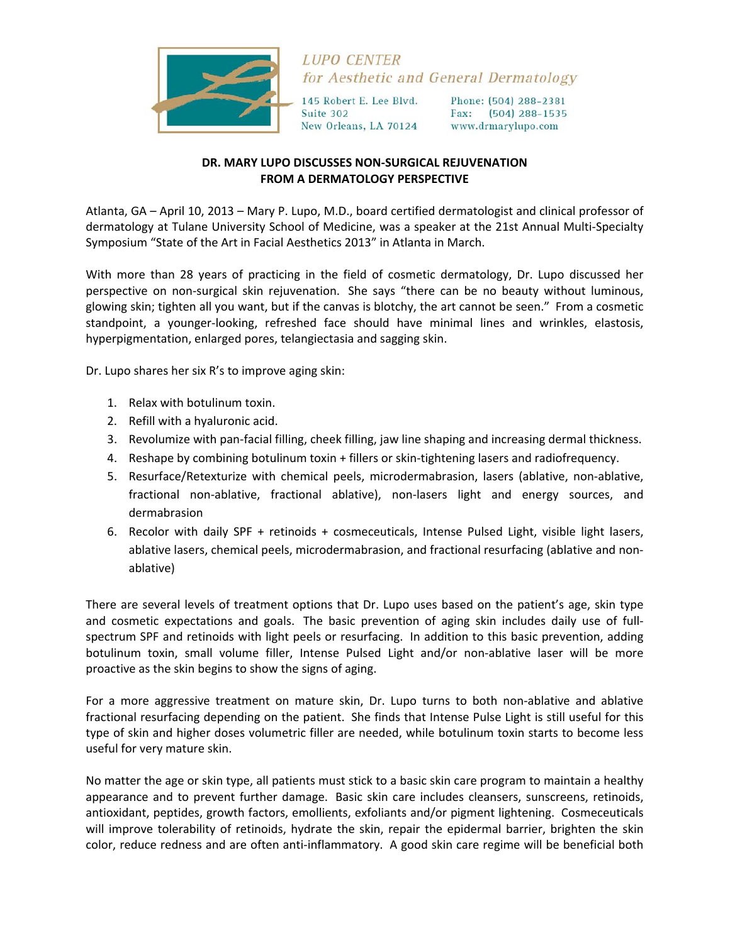

## **LUPO CENTER** for Aesthetic and General Dermatology

145 Robert E. Lee Blvd. Suite 302 New Orleans, LA 70124 Phone: (504) 288-2381 Fax: (504) 288-1535 www.drmarylupo.com

## **DR. MARY LUPO DISCUSSES NON‐SURGICAL REJUVENATION FROM A DERMATOLOGY PERSPECTIVE**

Atlanta, GA – April 10, 2013 – Mary P. Lupo, M.D., board certified dermatologist and clinical professor of dermatology at Tulane University School of Medicine, was a speaker at the 21st Annual Multi‐Specialty Symposium "State of the Art in Facial Aesthetics 2013" in Atlanta in March.

With more than 28 years of practicing in the field of cosmetic dermatology, Dr. Lupo discussed her perspective on non‐surgical skin rejuvenation. She says "there can be no beauty without luminous, glowing skin; tighten all you want, but if the canvas is blotchy, the art cannot be seen." From a cosmetic standpoint, a younger‐looking, refreshed face should have minimal lines and wrinkles, elastosis, hyperpigmentation, enlarged pores, telangiectasia and sagging skin.

Dr. Lupo shares her six R's to improve aging skin:

- 1. Relax with botulinum toxin.
- 2. Refill with a hyaluronic acid.
- 3. Revolumize with pan‐facial filling, cheek filling, jaw line shaping and increasing dermal thickness.
- 4. Reshape by combining botulinum toxin + fillers or skin-tightening lasers and radiofrequency.
- 5. Resurface/Retexturize with chemical peels, microdermabrasion, lasers (ablative, non‐ablative, fractional non-ablative, fractional ablative), non-lasers light and energy sources, and dermabrasion
- 6. Recolor with daily SPF + retinoids + cosmeceuticals, Intense Pulsed Light, visible light lasers, ablative lasers, chemical peels, microdermabrasion, and fractional resurfacing (ablative and non‐ ablative)

There are several levels of treatment options that Dr. Lupo uses based on the patient's age, skin type and cosmetic expectations and goals. The basic prevention of aging skin includes daily use of fullspectrum SPF and retinoids with light peels or resurfacing. In addition to this basic prevention, adding botulinum toxin, small volume filler, Intense Pulsed Light and/or non‐ablative laser will be more proactive as the skin begins to show the signs of aging.

For a more aggressive treatment on mature skin, Dr. Lupo turns to both non-ablative and ablative fractional resurfacing depending on the patient. She finds that Intense Pulse Light is still useful for this type of skin and higher doses volumetric filler are needed, while botulinum toxin starts to become less useful for very mature skin.

No matter the age or skin type, all patients must stick to a basic skin care program to maintain a healthy appearance and to prevent further damage. Basic skin care includes cleansers, sunscreens, retinoids, antioxidant, peptides, growth factors, emollients, exfoliants and/or pigment lightening. Cosmeceuticals will improve tolerability of retinoids, hydrate the skin, repair the epidermal barrier, brighten the skin color, reduce redness and are often anti‐inflammatory. A good skin care regime will be beneficial both